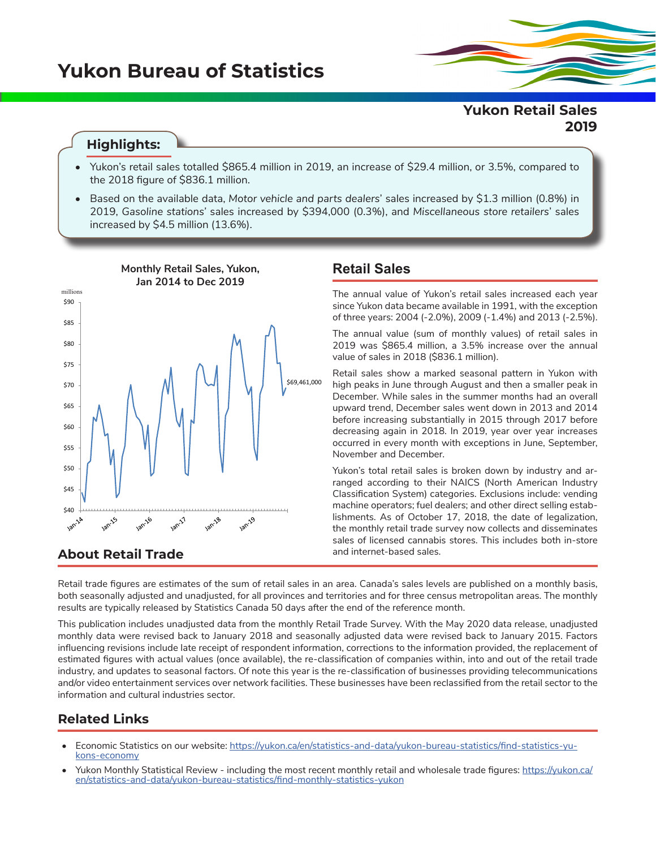# **Yukon Bureau of Statistics**

## **Highlights:**

- Yukon's retail sales totalled \$865.4 million in 2019, an increase of \$29.4 million, or 3.5%, compared to the 2018 figure of \$836.1 million.
- Based on the available data, *Motor vehicle and parts dealers*' sales increased by \$1.3 million (0.8%) in 2019, *Gasoline stations'* sales increased by \$394,000 (0.3%), and *Miscellaneous store retailers*' sales increased by \$4.5 million (13.6%).



# **Retail Sales**

The annual value of Yukon's retail sales increased each year since Yukon data became available in 1991, with the exception of three years: 2004 (-2.0%), 2009 (-1.4%) and 2013 (-2.5%).

The annual value (sum of monthly values) of retail sales in 2019 was \$865.4 million, a 3.5% increase over the annual value of sales in 2018 (\$836.1 million).

Retail sales show a marked seasonal pattern in Yukon with high peaks in June through August and then a smaller peak in December. While sales in the summer months had an overall upward trend, December sales went down in 2013 and 2014 before increasing substantially in 2015 through 2017 before decreasing again in 2018. In 2019, year over year increases occurred in every month with exceptions in June, September, November and December.

Yukon's total retail sales is broken down by industry and arranged according to their NAICS (North American Industry Classification System) categories. Exclusions include: vending machine operators; fuel dealers; and other direct selling establishments. As of October 17, 2018, the date of legalization, the monthly retail trade survey now collects and disseminates sales of licensed cannabis stores. This includes both in-store and internet-based sales.

Retail trade figures are estimates of the sum of retail sales in an area. Canada's sales levels are published on a monthly basis, both seasonally adjusted and unadjusted, for all provinces and territories and for three census metropolitan areas. The monthly results are typically released by Statistics Canada 50 days after the end of the reference month.

This publication includes unadjusted data from the monthly Retail Trade Survey. With the May 2020 data release, unadjusted monthly data were revised back to January 2018 and seasonally adjusted data were revised back to January 2015. Factors influencing revisions include late receipt of respondent information, corrections to the information provided, the replacement of estimated figures with actual values (once available), the re-classification of companies within, into and out of the retail trade industry, and updates to seasonal factors. Of note this year is the re-classification of businesses providing telecommunications and/or video entertainment services over network facilities. These businesses have been reclassified from the retail sector to the information and cultural industries sector.

### **Related Links**

- Economic Statistics on our website: [https://yukon.ca/en/statistics-and-data/yukon-bureau-statistics/find-statistics-yu](https://yukon.ca/en/statistics-and-data/yukon-bureau-statistics/find-statistics-yukons-economy)[kons-economy](https://yukon.ca/en/statistics-and-data/yukon-bureau-statistics/find-statistics-yukons-economy)
- Yukon Monthly Statistical Review including the most recent monthly retail and wholesale trade figures: [https://yukon.ca/](https://yukon.ca/en/statistics-and-data/yukon-bureau-statistics/find-monthly-statistics-yukon) [en/statistics-and-data/yukon-bureau-statistics/find-monthly-statistics-yukon](https://yukon.ca/en/statistics-and-data/yukon-bureau-statistics/find-monthly-statistics-yukon)

## **Yukon Retail Sales 2019**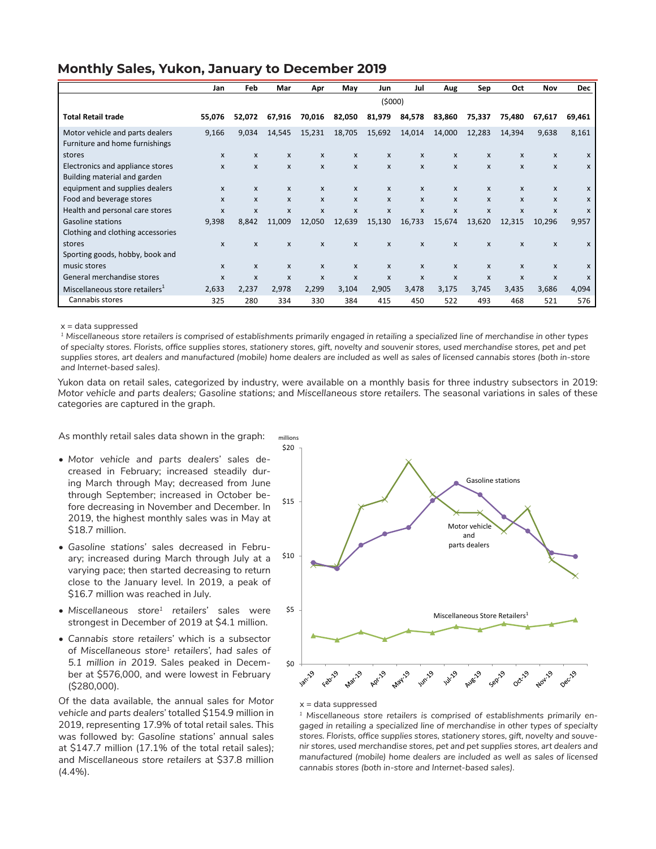|  |  | <b>Monthly Sales, Yukon, January to December 2019</b> |
|--|--|-------------------------------------------------------|
|--|--|-------------------------------------------------------|

|                                                                   | Jan          | Feb                       | Mar              | Apr                       | May                       | Jun          | Jul                       | Aug          | Sep    | Oct                       | Nov                       | <b>Dec</b>   |
|-------------------------------------------------------------------|--------------|---------------------------|------------------|---------------------------|---------------------------|--------------|---------------------------|--------------|--------|---------------------------|---------------------------|--------------|
|                                                                   | (5000)       |                           |                  |                           |                           |              |                           |              |        |                           |                           |              |
| <b>Total Retail trade</b>                                         | 55,076       | 52,072                    | 67,916           | 70,016                    | 82,050                    | 81,979       | 84,578                    | 83,860       | 75,337 | 75,480                    | 67,617                    | 69,461       |
| Motor vehicle and parts dealers<br>Furniture and home furnishings | 9,166        | 9,034                     | 14,545           | 15,231                    | 18,705                    | 15,692       | 14,014                    | 14,000       | 12,283 | 14,394                    | 9,638                     | 8,161        |
| stores                                                            | X            | X                         | X                | $\mathsf{x}$              | $\mathsf{x}$              | X            | X                         | $\mathsf{x}$ | X      | $\mathsf{x}$              | X                         | X            |
| Electronics and appliance stores                                  | X            | X                         | X                | $\mathsf{x}$              | $\mathsf{x}$              | X            | $\mathsf{x}$              | $\mathsf{x}$ | X      | $\mathsf{x}$              | X                         | X            |
| Building material and garden                                      |              |                           |                  |                           |                           |              |                           |              |        |                           |                           |              |
| equipment and supplies dealers                                    | X            | X                         | X                | $\mathsf{x}$              | X                         | X            | $\mathsf{x}$              | $\mathsf{x}$ | X      | X                         | X                         | $\mathsf{x}$ |
| Food and beverage stores                                          | X            | $\boldsymbol{\mathsf{x}}$ | X                | $\mathsf{x}$              | $\mathsf{x}$              | X            | $\mathsf{x}$              | X            | X      | $\mathsf{x}$              | X                         | X            |
| Health and personal care stores                                   | X            | $\boldsymbol{\mathsf{x}}$ | $\boldsymbol{x}$ | $\boldsymbol{\mathsf{x}}$ | $\boldsymbol{\mathsf{x}}$ | X            | $\boldsymbol{\mathsf{x}}$ | X            | X      | $\boldsymbol{\mathsf{x}}$ | $\boldsymbol{\mathsf{x}}$ | X            |
| <b>Gasoline stations</b>                                          | 9,398        | 8,842                     | 11,009           | 12,050                    | 12,639                    | 15,130       | 16,733                    | 15,674       | 13,620 | 12,315                    | 10,296                    | 9,957        |
| Clothing and clothing accessories                                 |              |                           |                  |                           |                           |              |                           |              |        |                           |                           |              |
| stores                                                            | X            | $\mathsf{x}$              | X                | $\mathsf{x}$              | $\mathsf{x}$              | X            | X                         | X            | X      | X                         | x                         | x            |
| Sporting goods, hobby, book and                                   |              |                           |                  |                           |                           |              |                           |              |        |                           |                           |              |
| music stores                                                      | $\mathsf{x}$ | X                         | X                | $\mathsf{x}$              | $\mathsf{x}$              | $\mathsf{x}$ | $\mathsf{x}$              | $\mathsf{x}$ | X      | $\mathsf{x}$              | X                         | X            |
| General merchandise stores                                        | X            | $\boldsymbol{\mathsf{x}}$ | $\boldsymbol{x}$ | $\boldsymbol{\mathsf{x}}$ | $\mathsf{x}$              | $\mathsf{x}$ | $\boldsymbol{\mathsf{x}}$ | $\mathsf{x}$ | X      | $\boldsymbol{\mathsf{x}}$ | $\boldsymbol{x}$          | X            |
| Miscellaneous store retailers <sup>1</sup>                        | 2,633        | 2,237                     | 2,978            | 2,299                     | 3,104                     | 2,905        | 3,478                     | 3,175        | 3,745  | 3,435                     | 3,686                     | 4,094        |
| Cannabis stores                                                   | 325          | 280                       | 334              | 330                       | 384                       | 415          | 450                       | 522          | 493    | 468                       | 521                       | 576          |

 $x =$  data suppressed

*1 Miscellaneous store retailers is comprised of establishments primarily engaged in retailing a specialized line of merchandise in other types of specialty stores. Florists, office supplies stores, stationery stores, gift, novelty and souvenir stores, used merchandise stores, pet and pet*  supplies stores, art dealers and manufactured (mobile) home dealers are included as well as sales of licensed cannabis stores (both in-store *and Internet-based sales).*

Yukon data on retail sales, categorized by industry, were available on a monthly basis for three industry subsectors in 2019: *Motor vehicle and parts dealers; Gasoline stations;* and *Miscellaneous store retailers.* The seasonal variations in sales of these categories are captured in the graph.

As monthly retail sales data shown in the graph:

- *• Motor vehicle and parts dealers'* sales decreased in February; increased steadily during March through May; decreased from June through September; increased in October before decreasing in November and December. In 2019, the highest monthly sales was in May at \$18.7 million.
- *• Gasoline stations'* sales decreased in February; increased during March through July at a varying pace; then started decreasing to return close to the January level. In 2019, a peak of \$16.7 million was reached in July.
- *• Miscellaneous store1 retailers'* sales were strongest in December of 2019 at \$4.1 million.
- *• Cannabis store retailers'* which is a subsector of *Miscellaneous store1 retailers', had sales of 5.1 million in 2019*. Sales peaked in December at \$576,000, and were lowest in February (\$280,000).

Of the data available, the annual sales for *Motor vehicle and parts dealers'* totalled \$154.9 million in 2019, representing 17.9% of total retail sales. This was followed by: *Gasoline stations'* annual sales at \$147.7 million (17.1% of the total retail sales)*;* and *Miscellaneous store retailers* at \$37.8 million (4.4%).



#### $x =$  data suppressed

*1 Miscellaneous store retailers is comprised of establishments primarily engaged in retailing a specialized line of merchandise in other types of specialty stores. Florists, office supplies stores, stationery stores, gift, novelty and souvenir stores, used merchandise stores, pet and pet supplies stores, art dealers and manufactured (mobile) home dealers are included as well as sales of licensed cannabis stores (both in-store and Internet-based sales).*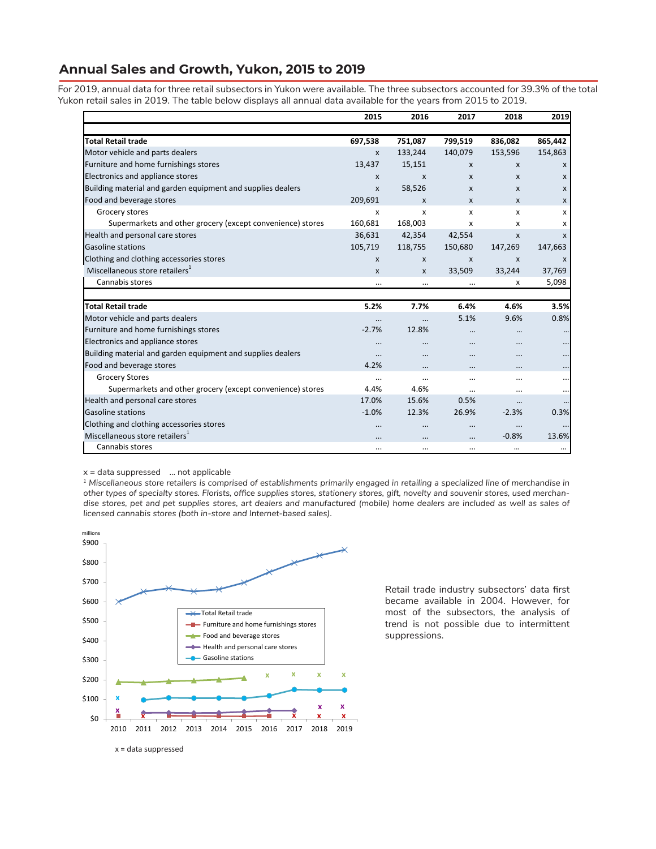#### **Annual Sales and Growth, Yukon, 2015 to 2019**

For 2019, annual data for three retail subsectors in Yukon were available. The three subsectors accounted for 39.3% of the total Yukon retail sales in 2019. The table below displays all annual data available for the years from 2015 to 2019.

|                                                             | 2015     | 2016               | 2017             | 2018     | 2019         |
|-------------------------------------------------------------|----------|--------------------|------------------|----------|--------------|
|                                                             |          |                    |                  |          |              |
| <b>Total Retail trade</b>                                   | 697,538  | 751,087            | 799,519          | 836,082  | 865,442      |
| Motor vehicle and parts dealers                             | X        | 133,244            | 140,079          | 153,596  | 154,863      |
| Furniture and home furnishings stores                       | 13,437   | 15,151             | X                | X        | X            |
| Electronics and appliance stores                            | X        | X                  | $\mathsf{x}$     | X        | $\mathsf{x}$ |
| Building material and garden equipment and supplies dealers | X        | 58,526             | $\mathsf{x}$     | X        | $\mathsf{x}$ |
| Food and beverage stores                                    | 209,691  | X                  | $\mathsf{x}$     | X        | $\mathsf{x}$ |
| Grocery stores                                              | X        | x                  | x                | X        | x            |
| Supermarkets and other grocery (except convenience) stores  | 160,681  | 168,003            | X                | X        | x            |
| Health and personal care stores                             | 36,631   | 42,354             | 42,554           | X        | $\mathbf{x}$ |
| <b>Gasoline stations</b>                                    | 105,719  | 118,755            | 150,680          | 147,269  | 147,663      |
| Clothing and clothing accessories stores                    | X        | $\pmb{\mathsf{X}}$ | $\boldsymbol{x}$ | X        | X            |
| Miscellaneous store retailers <sup>1</sup>                  | X        | X                  | 33,509           | 33,244   | 37,769       |
| Cannabis stores                                             | $\cdots$ | $\cdots$           | $\cdots$         | х        | 5,098        |
|                                                             |          |                    |                  |          |              |
| <b>Total Retail trade</b>                                   | 5.2%     | 7.7%               | 6.4%             | 4.6%     | 3.5%         |
| Motor vehicle and parts dealers                             | $\cdots$ | $\ddotsc$          | 5.1%             | 9.6%     | 0.8%         |
| Furniture and home furnishings stores                       | $-2.7%$  | 12.8%              | $\cdots$         | $\cdots$ |              |
| Electronics and appliance stores                            | $\cdots$ |                    | $\cdots$         |          | $\ddotsc$    |
| Building material and garden equipment and supplies dealers | $\cdots$ | $\cdots$           | $\cdots$         |          | $\ddotsc$    |
| Food and beverage stores                                    | 4.2%     |                    |                  |          |              |
| <b>Grocery Stores</b>                                       |          |                    | $\cdots$         |          |              |
| Supermarkets and other grocery (except convenience) stores  | 4.4%     | 4.6%               | $\cdots$         |          | $\ddotsc$    |
| Health and personal care stores                             | 17.0%    | 15.6%              | 0.5%             |          |              |
| <b>Gasoline stations</b>                                    | $-1.0%$  | 12.3%              | 26.9%            | $-2.3%$  | 0.3%         |
| Clothing and clothing accessories stores                    |          | $\cdots$           | $\cdots$         |          |              |
| Miscellaneous store retailers <sup>1</sup>                  |          |                    | $\ddotsc$        | $-0.8%$  | 13.6%        |
| Cannabis stores                                             |          | $\cdots$           | $\cdots$         | $\cdots$ | $\cdots$     |

 $x =$  data suppressed  $\ldots$  not applicable

*1 Miscellaneous store retailers is comprised of establishments primarily engaged in retailing a specialized line of merchandise in other types of specialty stores. Florists, office supplies stores, stationery stores, gift, novelty and souvenir stores, used merchandise stores, pet and pet supplies stores, art dealers and manufactured (mobile) home dealers are included as well as sales of licensed cannabis stores (both in-store and Internet-based sales).*



Retail trade industry subsectors' data first became available in 2004. However, for most of the subsectors, the analysis of trend is not possible due to intermittent suppressions.